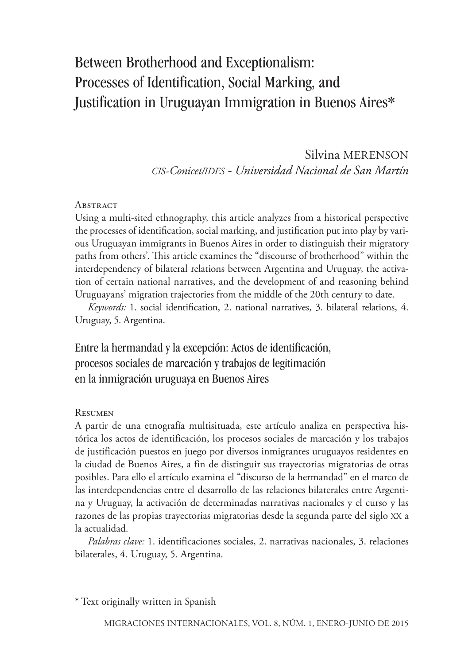# Between Brotherhood and Exceptionalism: Processes of Identification, Social Marking, and Justification in Uruguayan Immigration in Buenos Aires\*

## Silvina MERENSON *CIS-Conicet/IDES - Universidad Nacional de San Martín*

#### **ABSTRACT**

Using a multi-sited ethnography, this article analyzes from a historical perspective the processes of identification, social marking, and justification put into play by various Uruguayan immigrants in Buenos Aires in order to distinguish their migratory paths from others'. This article examines the "discourse of brotherhood" within the interdependency of bilateral relations between Argentina and Uruguay, the activation of certain national narratives, and the development of and reasoning behind Uruguayans' migration trajectories from the middle of the 20th century to date.

*Keywords:* 1. social identification, 2. national narratives, 3. bilateral relations, 4. Uruguay, 5. Argentina.

Entre la hermandad y la excepción: Actos de identificación, procesos sociales de marcación y trabajos de legitimación en la inmigración uruguaya en Buenos Aires

#### Resumen

A partir de una etnografía multisituada, este artículo analiza en perspectiva histórica los actos de identificación, los procesos sociales de marcación y los trabajos de justificación puestos en juego por diversos inmigrantes uruguayos residentes en la ciudad de Buenos Aires, a fin de distinguir sus trayectorias migratorias de otras posibles. Para ello el artículo examina el "discurso de la hermandad" en el marco de las interdependencias entre el desarrollo de las relaciones bilaterales entre Argentina y Uruguay, la activación de determinadas narrativas nacionales y el curso y las razones de las propias trayectorias migratorias desde la segunda parte del siglo XX a la actualidad.

*Palabras clave:* 1. identificaciones sociales, 2. narrativas nacionales, 3. relaciones bilaterales, 4. Uruguay, 5. Argentina.

\* Text originally written in Spanish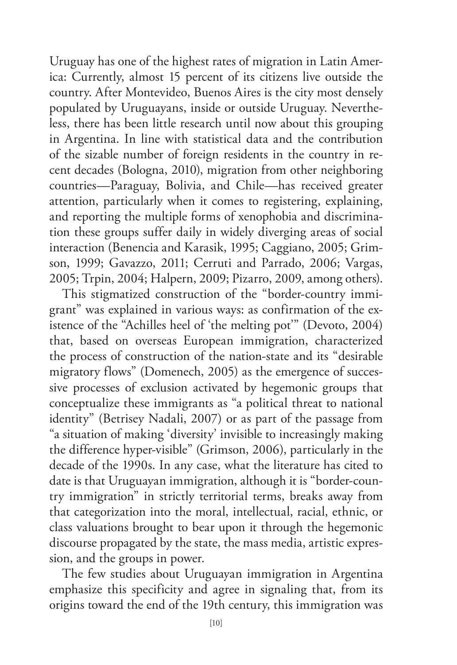Uruguay has one of the highest rates of migration in Latin America: Currently, almost 15 percent of its citizens live outside the country. After Montevideo, Buenos Aires is the city most densely populated by Uruguayans, inside or outside Uruguay. Nevertheless, there has been little research until now about this grouping in Argentina. In line with statistical data and the contribution of the sizable number of foreign residents in the country in recent decades (Bologna, 2010), migration from other neighboring countries—Paraguay, Bolivia, and Chile—has received greater attention, particularly when it comes to registering, explaining, and reporting the multiple forms of xenophobia and discrimination these groups suffer daily in widely diverging areas of social interaction (Benencia and Karasik, 1995; Caggiano, 2005; Grimson, 1999; Gavazzo, 2011; Cerruti and Parrado, 2006; Vargas, 2005; Trpin, 2004; Halpern, 2009; Pizarro, 2009, among others).

This stigmatized construction of the "border-country immigrant" was explained in various ways: as confirmation of the existence of the "Achilles heel of 'the melting pot'" (Devoto, 2004) that, based on overseas European immigration, characterized the process of construction of the nation-state and its "desirable migratory flows" (Domenech, 2005) as the emergence of successive processes of exclusion activated by hegemonic groups that conceptualize these immigrants as "a political threat to national identity" (Betrisey Nadali, 2007) or as part of the passage from "a situation of making 'diversity' invisible to increasingly making the difference hyper-visible" (Grimson, 2006), particularly in the decade of the 1990s. In any case, what the literature has cited to date is that Uruguayan immigration, although it is "border-country immigration" in strictly territorial terms, breaks away from that categorization into the moral, intellectual, racial, ethnic, or class valuations brought to bear upon it through the hegemonic discourse propagated by the state, the mass media, artistic expression, and the groups in power.

The few studies about Uruguayan immigration in Argentina emphasize this specificity and agree in signaling that, from its origins toward the end of the 19th century, this immigration was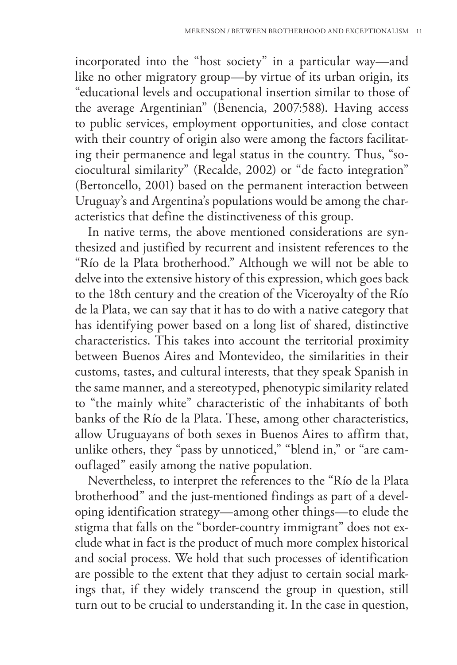incorporated into the "host society" in a particular way—and like no other migratory group—by virtue of its urban origin, its "educational levels and occupational insertion similar to those of the average Argentinian" (Benencia, 2007:588). Having access to public services, employment opportunities, and close contact with their country of origin also were among the factors facilitating their permanence and legal status in the country. Thus, "sociocultural similarity" (Recalde, 2002) or "de facto integration" (Bertoncello, 2001) based on the permanent interaction between Uruguay's and Argentina's populations would be among the characteristics that define the distinctiveness of this group.

In native terms, the above mentioned considerations are synthesized and justified by recurrent and insistent references to the "Río de la Plata brotherhood." Although we will not be able to delve into the extensive history of this expression, which goes back to the 18th century and the creation of the Viceroyalty of the Río de la Plata, we can say that it has to do with a native category that has identifying power based on a long list of shared, distinctive characteristics. This takes into account the territorial proximity between Buenos Aires and Montevideo, the similarities in their customs, tastes, and cultural interests, that they speak Spanish in the same manner, and a stereotyped, phenotypic similarity related to "the mainly white" characteristic of the inhabitants of both banks of the Río de la Plata. These, among other characteristics, allow Uruguayans of both sexes in Buenos Aires to affirm that, unlike others, they "pass by unnoticed," "blend in," or "are camouflaged" easily among the native population.

Nevertheless, to interpret the references to the "Río de la Plata brotherhood" and the just-mentioned findings as part of a developing identification strategy—among other things—to elude the stigma that falls on the "border-country immigrant" does not exclude what in fact is the product of much more complex historical and social process. We hold that such processes of identification are possible to the extent that they adjust to certain social markings that, if they widely transcend the group in question, still turn out to be crucial to understanding it. In the case in question,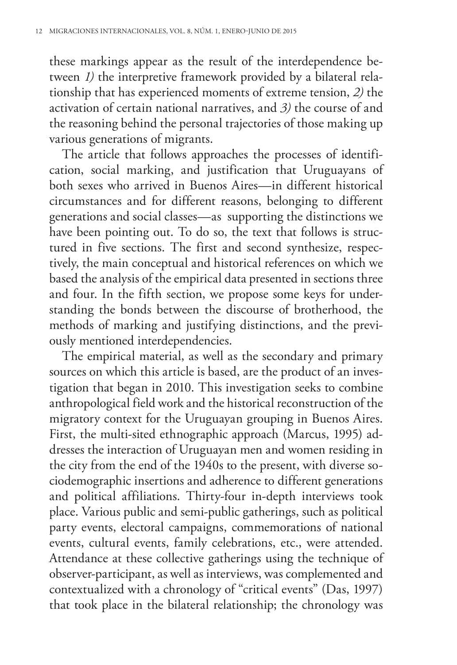these markings appear as the result of the interdependence between *1)* the interpretive framework provided by a bilateral relationship that has experienced moments of extreme tension, *2)* the activation of certain national narratives, and *3)* the course of and the reasoning behind the personal trajectories of those making up various generations of migrants.

The article that follows approaches the processes of identification, social marking, and justification that Uruguayans of both sexes who arrived in Buenos Aires—in different historical circumstances and for different reasons, belonging to different generations and social classes—as supporting the distinctions we have been pointing out. To do so, the text that follows is structured in five sections. The first and second synthesize, respectively, the main conceptual and historical references on which we based the analysis of the empirical data presented in sections three and four. In the fifth section, we propose some keys for understanding the bonds between the discourse of brotherhood, the methods of marking and justifying distinctions, and the previously mentioned interdependencies.

The empirical material, as well as the secondary and primary sources on which this article is based, are the product of an investigation that began in 2010. This investigation seeks to combine anthropological field work and the historical reconstruction of the migratory context for the Uruguayan grouping in Buenos Aires. First, the multi-sited ethnographic approach (Marcus, 1995) addresses the interaction of Uruguayan men and women residing in the city from the end of the 1940s to the present, with diverse sociodemographic insertions and adherence to different generations and political affiliations. Thirty-four in-depth interviews took place. Various public and semi-public gatherings, such as political party events, electoral campaigns, commemorations of national events, cultural events, family celebrations, etc., were attended. Attendance at these collective gatherings using the technique of observer-participant, as well as interviews, was complemented and contextualized with a chronology of "critical events" (Das, 1997) that took place in the bilateral relationship; the chronology was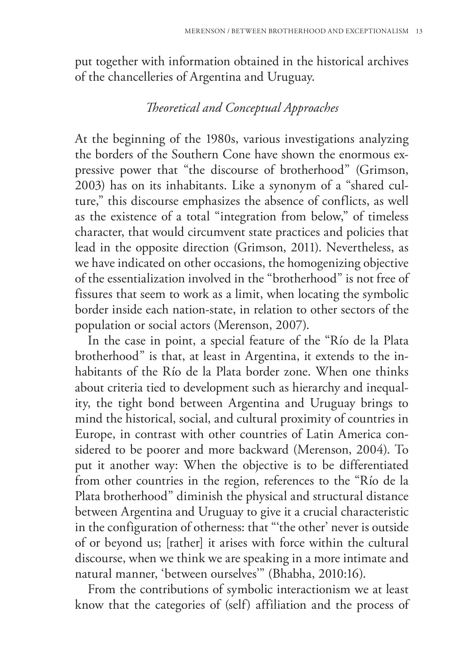put together with information obtained in the historical archives of the chancelleries of Argentina and Uruguay.

# *Theoretical and Conceptual Approaches*

At the beginning of the 1980s, various investigations analyzing the borders of the Southern Cone have shown the enormous expressive power that "the discourse of brotherhood" (Grimson, 2003) has on its inhabitants. Like a synonym of a "shared culture," this discourse emphasizes the absence of conflicts, as well as the existence of a total "integration from below," of timeless character, that would circumvent state practices and policies that lead in the opposite direction (Grimson, 2011). Nevertheless, as we have indicated on other occasions, the homogenizing objective of the essentialization involved in the "brotherhood" is not free of fissures that seem to work as a limit, when locating the symbolic border inside each nation-state, in relation to other sectors of the population or social actors (Merenson, 2007).

In the case in point, a special feature of the "Río de la Plata brotherhood" is that, at least in Argentina, it extends to the inhabitants of the Río de la Plata border zone. When one thinks about criteria tied to development such as hierarchy and inequality, the tight bond between Argentina and Uruguay brings to mind the historical, social, and cultural proximity of countries in Europe, in contrast with other countries of Latin America considered to be poorer and more backward (Merenson, 2004). To put it another way: When the objective is to be differentiated from other countries in the region, references to the "Río de la Plata brotherhood" diminish the physical and structural distance between Argentina and Uruguay to give it a crucial characteristic in the configuration of otherness: that "'the other' never is outside of or beyond us; [rather] it arises with force within the cultural discourse, when we think we are speaking in a more intimate and natural manner, 'between ourselves'" (Bhabha, 2010:16).

From the contributions of symbolic interactionism we at least know that the categories of (self) affiliation and the process of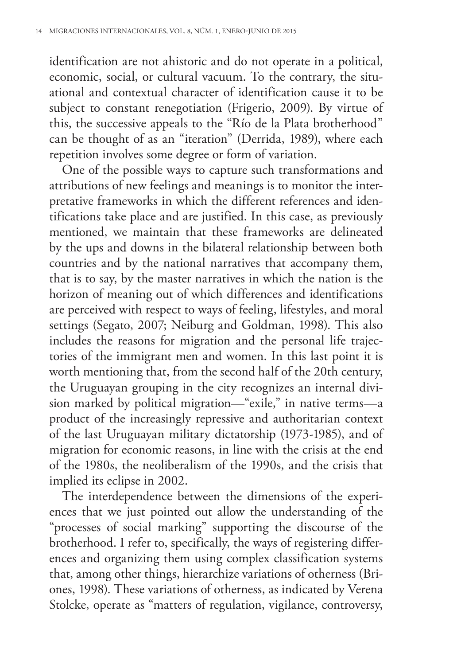identification are not ahistoric and do not operate in a political, economic, social, or cultural vacuum. To the contrary, the situational and contextual character of identification cause it to be subject to constant renegotiation (Frigerio, 2009). By virtue of this, the successive appeals to the "Río de la Plata brotherhood" can be thought of as an "iteration" (Derrida, 1989), where each repetition involves some degree or form of variation.

One of the possible ways to capture such transformations and attributions of new feelings and meanings is to monitor the interpretative frameworks in which the different references and identifications take place and are justified. In this case, as previously mentioned, we maintain that these frameworks are delineated by the ups and downs in the bilateral relationship between both countries and by the national narratives that accompany them, that is to say, by the master narratives in which the nation is the horizon of meaning out of which differences and identifications are perceived with respect to ways of feeling, lifestyles, and moral settings (Segato, 2007; Neiburg and Goldman, 1998). This also includes the reasons for migration and the personal life trajectories of the immigrant men and women. In this last point it is worth mentioning that, from the second half of the 20th century, the Uruguayan grouping in the city recognizes an internal division marked by political migration—"exile," in native terms—a product of the increasingly repressive and authoritarian context of the last Uruguayan military dictatorship (1973-1985), and of migration for economic reasons, in line with the crisis at the end of the 1980s, the neoliberalism of the 1990s, and the crisis that implied its eclipse in 2002.

The interdependence between the dimensions of the experiences that we just pointed out allow the understanding of the "processes of social marking" supporting the discourse of the brotherhood. I refer to, specifically, the ways of registering differences and organizing them using complex classification systems that, among other things, hierarchize variations of otherness (Briones, 1998). These variations of otherness, as indicated by Verena Stolcke, operate as "matters of regulation, vigilance, controversy,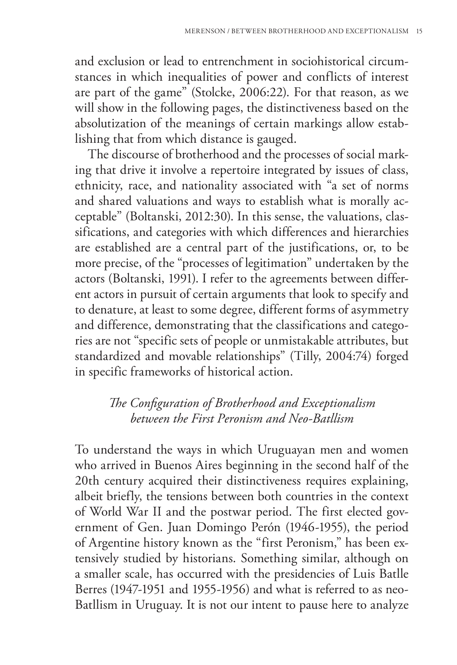and exclusion or lead to entrenchment in sociohistorical circumstances in which inequalities of power and conflicts of interest are part of the game" (Stolcke, 2006:22). For that reason, as we will show in the following pages, the distinctiveness based on the absolutization of the meanings of certain markings allow establishing that from which distance is gauged.

The discourse of brotherhood and the processes of social marking that drive it involve a repertoire integrated by issues of class, ethnicity, race, and nationality associated with "a set of norms and shared valuations and ways to establish what is morally acceptable" (Boltanski, 2012:30). In this sense, the valuations, classifications, and categories with which differences and hierarchies are established are a central part of the justifications, or, to be more precise, of the "processes of legitimation" undertaken by the actors (Boltanski, 1991). I refer to the agreements between different actors in pursuit of certain arguments that look to specify and to denature, at least to some degree, different forms of asymmetry and difference, demonstrating that the classifications and categories are not "specific sets of people or unmistakable attributes, but standardized and movable relationships" (Tilly, 2004:74) forged in specific frameworks of historical action.

# *The Configuration of Brotherhood and Exceptionalism between the First Peronism and Neo-Batllism*

To understand the ways in which Uruguayan men and women who arrived in Buenos Aires beginning in the second half of the 20th century acquired their distinctiveness requires explaining, albeit briefly, the tensions between both countries in the context of World War II and the postwar period. The first elected government of Gen. Juan Domingo Perón (1946-1955), the period of Argentine history known as the "first Peronism," has been extensively studied by historians. Something similar, although on a smaller scale, has occurred with the presidencies of Luis Batlle Berres (1947-1951 and 1955-1956) and what is referred to as neo-Batllism in Uruguay. It is not our intent to pause here to analyze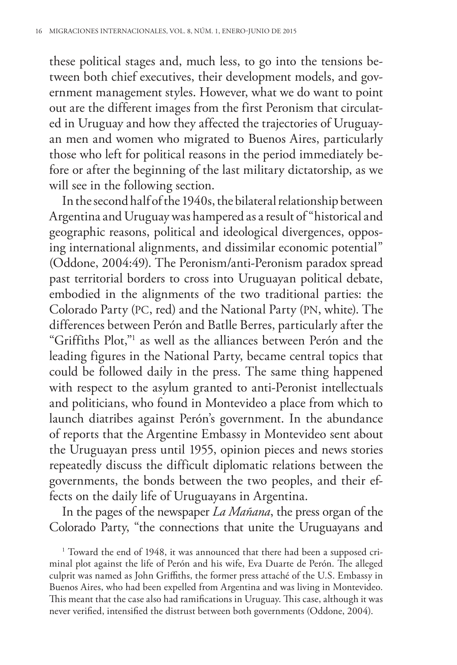these political stages and, much less, to go into the tensions between both chief executives, their development models, and government management styles. However, what we do want to point out are the different images from the first Peronism that circulated in Uruguay and how they affected the trajectories of Uruguayan men and women who migrated to Buenos Aires, particularly those who left for political reasons in the period immediately before or after the beginning of the last military dictatorship, as we will see in the following section.

In the second half of the 1940s, the bilateral relationship between Argentina and Uruguay was hampered as a result of "historical and geographic reasons, political and ideological divergences, opposing international alignments, and dissimilar economic potential" (Oddone, 2004:49). The Peronism/anti-Peronism paradox spread past territorial borders to cross into Uruguayan political debate, embodied in the alignments of the two traditional parties: the Colorado Party (PC, red) and the National Party (PN, white). The differences between Perón and Batlle Berres, particularly after the "Griffiths Plot,"1 as well as the alliances between Perón and the leading figures in the National Party, became central topics that could be followed daily in the press. The same thing happened with respect to the asylum granted to anti-Peronist intellectuals and politicians, who found in Montevideo a place from which to launch diatribes against Perón's government. In the abundance of reports that the Argentine Embassy in Montevideo sent about the Uruguayan press until 1955, opinion pieces and news stories repeatedly discuss the difficult diplomatic relations between the governments, the bonds between the two peoples, and their effects on the daily life of Uruguayans in Argentina.

In the pages of the newspaper *La Mañana*, the press organ of the Colorado Party, "the connections that unite the Uruguayans and

<sup>1</sup> Toward the end of 1948, it was announced that there had been a supposed criminal plot against the life of Perón and his wife, Eva Duarte de Perón. The alleged culprit was named as John Griffiths, the former press attaché of the U.S. Embassy in Buenos Aires, who had been expelled from Argentina and was living in Montevideo. This meant that the case also had ramifications in Uruguay. This case, although it was never verified, intensified the distrust between both governments (Oddone, 2004).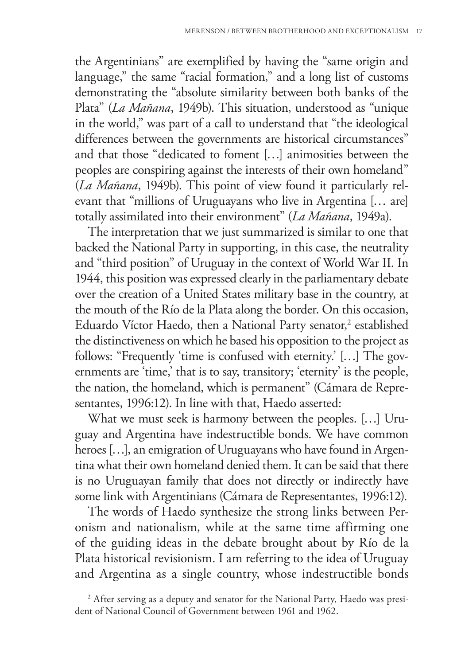the Argentinians" are exemplified by having the "same origin and language," the same "racial formation," and a long list of customs demonstrating the "absolute similarity between both banks of the Plata" (*La Mañana*, 1949b). This situation, understood as "unique in the world," was part of a call to understand that "the ideological differences between the governments are historical circumstances" and that those "dedicated to foment […] animosities between the peoples are conspiring against the interests of their own homeland" (*La Mañana*, 1949b). This point of view found it particularly relevant that "millions of Uruguayans who live in Argentina [… are] totally assimilated into their environment" (*La Mañana*, 1949a).

The interpretation that we just summarized is similar to one that backed the National Party in supporting, in this case, the neutrality and "third position" of Uruguay in the context of World War II. In 1944, this position was expressed clearly in the parliamentary debate over the creation of a United States military base in the country, at the mouth of the Río de la Plata along the border. On this occasion, Eduardo Víctor Haedo, then a National Party senator,<sup>2</sup> established the distinctiveness on which he based his opposition to the project as follows: "Frequently 'time is confused with eternity.' […] The governments are 'time,' that is to say, transitory; 'eternity' is the people, the nation, the homeland, which is permanent" (Cámara de Representantes, 1996:12). In line with that, Haedo asserted:

What we must seek is harmony between the peoples. […] Uruguay and Argentina have indestructible bonds. We have common heroes […], an emigration of Uruguayans who have found in Argentina what their own homeland denied them. It can be said that there is no Uruguayan family that does not directly or indirectly have some link with Argentinians (Cámara de Representantes, 1996:12).

The words of Haedo synthesize the strong links between Peronism and nationalism, while at the same time affirming one of the guiding ideas in the debate brought about by Río de la Plata historical revisionism. I am referring to the idea of Uruguay and Argentina as a single country, whose indestructible bonds

<sup>&</sup>lt;sup>2</sup> After serving as a deputy and senator for the National Party, Haedo was president of National Council of Government between 1961 and 1962.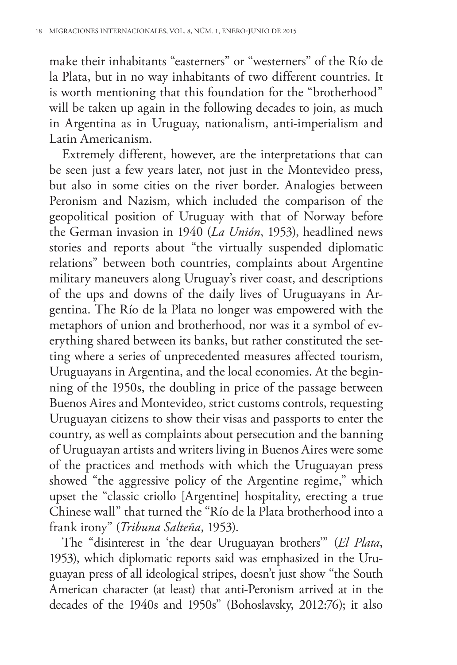make their inhabitants "easterners" or "westerners" of the Río de la Plata, but in no way inhabitants of two different countries. It is worth mentioning that this foundation for the "brotherhood" will be taken up again in the following decades to join, as much in Argentina as in Uruguay, nationalism, anti-imperialism and Latin Americanism.

Extremely different, however, are the interpretations that can be seen just a few years later, not just in the Montevideo press, but also in some cities on the river border. Analogies between Peronism and Nazism, which included the comparison of the geopolitical position of Uruguay with that of Norway before the German invasion in 1940 (*La Unión*, 1953), headlined news stories and reports about "the virtually suspended diplomatic relations" between both countries, complaints about Argentine military maneuvers along Uruguay's river coast, and descriptions of the ups and downs of the daily lives of Uruguayans in Argentina. The Río de la Plata no longer was empowered with the metaphors of union and brotherhood, nor was it a symbol of everything shared between its banks, but rather constituted the setting where a series of unprecedented measures affected tourism, Uruguayans in Argentina, and the local economies. At the beginning of the 1950s, the doubling in price of the passage between Buenos Aires and Montevideo, strict customs controls, requesting Uruguayan citizens to show their visas and passports to enter the country, as well as complaints about persecution and the banning of Uruguayan artists and writers living in Buenos Aires were some of the practices and methods with which the Uruguayan press showed "the aggressive policy of the Argentine regime," which upset the "classic criollo [Argentine] hospitality, erecting a true Chinese wall" that turned the "Río de la Plata brotherhood into a frank irony" (*Tribuna Salteña*, 1953).

The "disinterest in 'the dear Uruguayan brothers'" (*El Plata*, 1953), which diplomatic reports said was emphasized in the Uruguayan press of all ideological stripes, doesn't just show "the South American character (at least) that anti-Peronism arrived at in the decades of the 1940s and 1950s" (Bohoslavsky, 2012:76); it also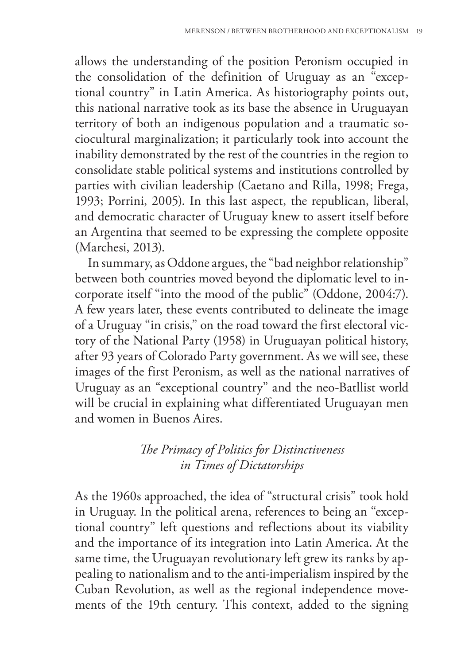allows the understanding of the position Peronism occupied in the consolidation of the definition of Uruguay as an "exceptional country" in Latin America. As historiography points out, this national narrative took as its base the absence in Uruguayan territory of both an indigenous population and a traumatic sociocultural marginalization; it particularly took into account the inability demonstrated by the rest of the countries in the region to consolidate stable political systems and institutions controlled by parties with civilian leadership (Caetano and Rilla, 1998; Frega, 1993; Porrini, 2005). In this last aspect, the republican, liberal, and democratic character of Uruguay knew to assert itself before an Argentina that seemed to be expressing the complete opposite (Marchesi, 2013).

In summary, as Oddone argues, the "bad neighbor relationship" between both countries moved beyond the diplomatic level to incorporate itself "into the mood of the public" (Oddone, 2004:7). A few years later, these events contributed to delineate the image of a Uruguay "in crisis," on the road toward the first electoral victory of the National Party (1958) in Uruguayan political history, after 93 years of Colorado Party government. As we will see, these images of the first Peronism, as well as the national narratives of Uruguay as an "exceptional country" and the neo-Batllist world will be crucial in explaining what differentiated Uruguayan men and women in Buenos Aires.

# *The Primacy of Politics for Distinctiveness in Times of Dictatorships*

As the 1960s approached, the idea of "structural crisis" took hold in Uruguay. In the political arena, references to being an "exceptional country" left questions and reflections about its viability and the importance of its integration into Latin America. At the same time, the Uruguayan revolutionary left grew its ranks by appealing to nationalism and to the anti-imperialism inspired by the Cuban Revolution, as well as the regional independence movements of the 19th century. This context, added to the signing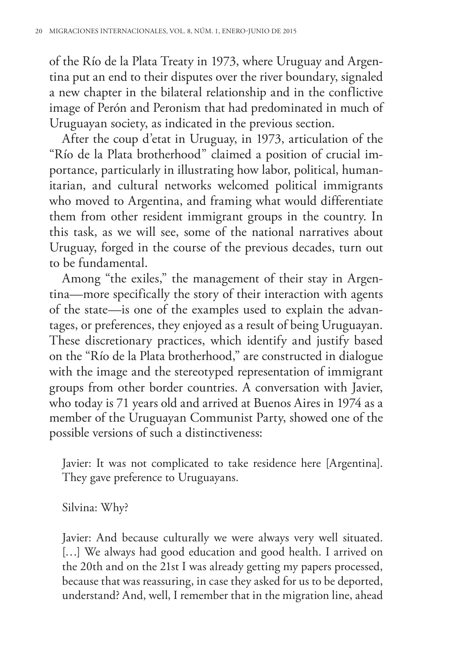of the Río de la Plata Treaty in 1973, where Uruguay and Argentina put an end to their disputes over the river boundary, signaled a new chapter in the bilateral relationship and in the conflictive image of Perón and Peronism that had predominated in much of Uruguayan society, as indicated in the previous section.

After the coup d'etat in Uruguay, in 1973, articulation of the "Río de la Plata brotherhood" claimed a position of crucial importance, particularly in illustrating how labor, political, humanitarian, and cultural networks welcomed political immigrants who moved to Argentina, and framing what would differentiate them from other resident immigrant groups in the country. In this task, as we will see, some of the national narratives about Uruguay, forged in the course of the previous decades, turn out to be fundamental.

Among "the exiles," the management of their stay in Argentina—more specifically the story of their interaction with agents of the state—is one of the examples used to explain the advantages, or preferences, they enjoyed as a result of being Uruguayan. These discretionary practices, which identify and justify based on the "Río de la Plata brotherhood," are constructed in dialogue with the image and the stereotyped representation of immigrant groups from other border countries. A conversation with Javier, who today is 71 years old and arrived at Buenos Aires in 1974 as a member of the Uruguayan Communist Party, showed one of the possible versions of such a distinctiveness:

Javier: It was not complicated to take residence here [Argentina]. They gave preference to Uruguayans.

Silvina: Why?

Javier: And because culturally we were always very well situated. [...] We always had good education and good health. I arrived on the 20th and on the 21st I was already getting my papers processed, because that was reassuring, in case they asked for us to be deported, understand? And, well, I remember that in the migration line, ahead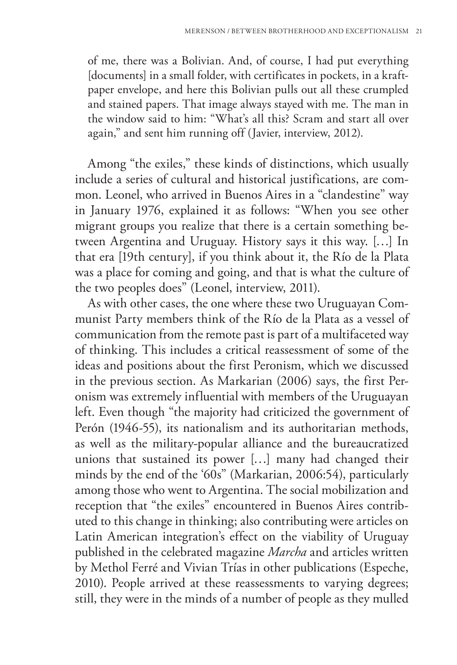of me, there was a Bolivian. And, of course, I had put everything [documents] in a small folder, with certificates in pockets, in a kraftpaper envelope, and here this Bolivian pulls out all these crumpled and stained papers. That image always stayed with me. The man in the window said to him: "What's all this? Scram and start all over again," and sent him running off (Javier, interview, 2012).

Among "the exiles," these kinds of distinctions, which usually include a series of cultural and historical justifications, are common. Leonel, who arrived in Buenos Aires in a "clandestine" way in January 1976, explained it as follows: "When you see other migrant groups you realize that there is a certain something between Argentina and Uruguay. History says it this way. […] In that era [19th century], if you think about it, the Río de la Plata was a place for coming and going, and that is what the culture of the two peoples does" (Leonel, interview, 2011).

As with other cases, the one where these two Uruguayan Communist Party members think of the Río de la Plata as a vessel of communication from the remote past is part of a multifaceted way of thinking. This includes a critical reassessment of some of the ideas and positions about the first Peronism, which we discussed in the previous section. As Markarian (2006) says, the first Peronism was extremely influential with members of the Uruguayan left. Even though "the majority had criticized the government of Perón (1946-55), its nationalism and its authoritarian methods, as well as the military-popular alliance and the bureaucratized unions that sustained its power […] many had changed their minds by the end of the '60s" (Markarian, 2006:54), particularly among those who went to Argentina. The social mobilization and reception that "the exiles" encountered in Buenos Aires contributed to this change in thinking; also contributing were articles on Latin American integration's effect on the viability of Uruguay published in the celebrated magazine *Marcha* and articles written by Methol Ferré and Vivian Trías in other publications (Espeche, 2010). People arrived at these reassessments to varying degrees; still, they were in the minds of a number of people as they mulled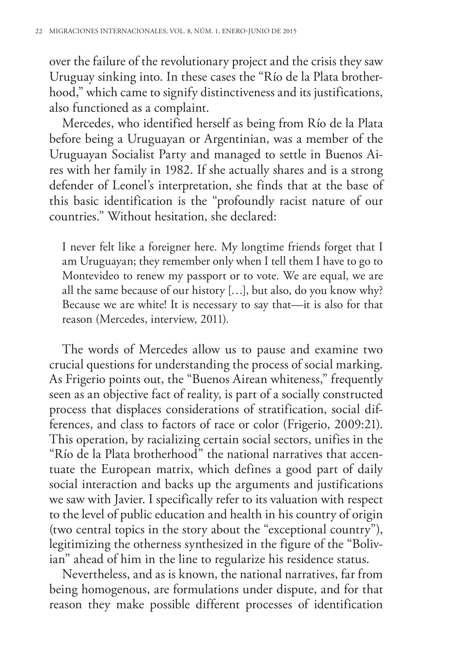over the failure of the revolutionary project and the crisis they saw Uruguay sinking into. In these cases the "Río de la Plata brotherhood," which came to signify distinctiveness and its justifications, also functioned as a complaint.

Mercedes, who identified herself as being from Río de la Plata before being a Uruguayan or Argentinian, was a member of the Uruguayan Socialist Party and managed to settle in Buenos Aires with her family in 1982. If she actually shares and is a strong defender of Leonel's interpretation, she finds that at the base of this basic identification is the "profoundly racist nature of our countries." Without hesitation, she declared:

I never felt like a foreigner here. My longtime friends forget that I am Uruguayan; they remember only when I tell them I have to go to Montevideo to renew my passport or to vote. We are equal, we are all the same because of our history […], but also, do you know why? Because we are white! It is necessary to say that—it is also for that reason (Mercedes, interview, 2011).

The words of Mercedes allow us to pause and examine two crucial questions for understanding the process of social marking. As Frigerio points out, the "Buenos Airean whiteness," frequently seen as an objective fact of reality, is part of a socially constructed process that displaces considerations of stratification, social differences, and class to factors of race or color (Frigerio, 2009:21). This operation, by racializing certain social sectors, unifies in the "Río de la Plata brotherhood" the national narratives that accentuate the European matrix, which defines a good part of daily social interaction and backs up the arguments and justifications we saw with Javier. I specifically refer to its valuation with respect to the level of public education and health in his country of origin (two central topics in the story about the "exceptional country"), legitimizing the otherness synthesized in the figure of the "Bolivian" ahead of him in the line to regularize his residence status.

Nevertheless, and as is known, the national narratives, far from being homogenous, are formulations under dispute, and for that reason they make possible different processes of identification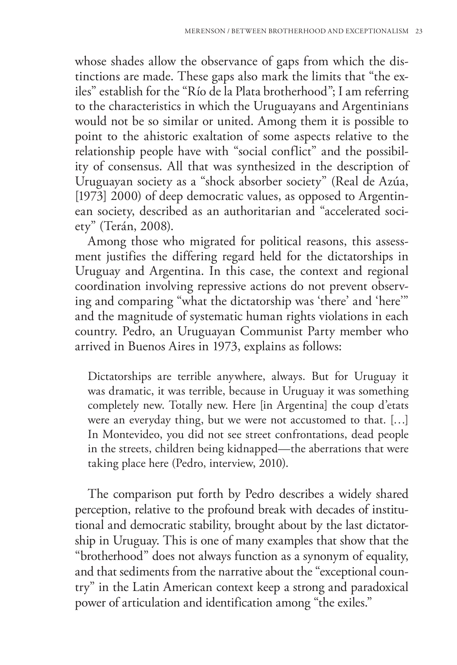whose shades allow the observance of gaps from which the distinctions are made. These gaps also mark the limits that "the exiles" establish for the "Río de la Plata brotherhood"; I am referring to the characteristics in which the Uruguayans and Argentinians would not be so similar or united. Among them it is possible to point to the ahistoric exaltation of some aspects relative to the relationship people have with "social conflict" and the possibility of consensus. All that was synthesized in the description of Uruguayan society as a "shock absorber society" (Real de Azúa, [1973] 2000) of deep democratic values, as opposed to Argentinean society, described as an authoritarian and "accelerated society" (Terán, 2008).

Among those who migrated for political reasons, this assessment justifies the differing regard held for the dictatorships in Uruguay and Argentina. In this case, the context and regional coordination involving repressive actions do not prevent observing and comparing "what the dictatorship was 'there' and 'here'" and the magnitude of systematic human rights violations in each country. Pedro, an Uruguayan Communist Party member who arrived in Buenos Aires in 1973, explains as follows:

Dictatorships are terrible anywhere, always. But for Uruguay it was dramatic, it was terrible, because in Uruguay it was something completely new. Totally new. Here [in Argentina] the coup d'etats were an everyday thing, but we were not accustomed to that. […] In Montevideo, you did not see street confrontations, dead people in the streets, children being kidnapped—the aberrations that were taking place here (Pedro, interview, 2010).

The comparison put forth by Pedro describes a widely shared perception, relative to the profound break with decades of institutional and democratic stability, brought about by the last dictatorship in Uruguay. This is one of many examples that show that the "brotherhood" does not always function as a synonym of equality, and that sediments from the narrative about the "exceptional country" in the Latin American context keep a strong and paradoxical power of articulation and identification among "the exiles."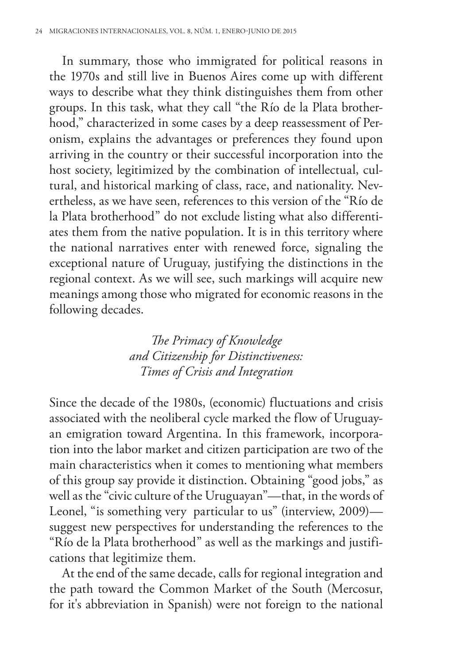In summary, those who immigrated for political reasons in the 1970s and still live in Buenos Aires come up with different ways to describe what they think distinguishes them from other groups. In this task, what they call "the Río de la Plata brotherhood," characterized in some cases by a deep reassessment of Peronism, explains the advantages or preferences they found upon arriving in the country or their successful incorporation into the host society, legitimized by the combination of intellectual, cultural, and historical marking of class, race, and nationality. Nevertheless, as we have seen, references to this version of the "Río de la Plata brotherhood" do not exclude listing what also differentiates them from the native population. It is in this territory where the national narratives enter with renewed force, signaling the exceptional nature of Uruguay, justifying the distinctions in the regional context. As we will see, such markings will acquire new meanings among those who migrated for economic reasons in the following decades.

> *The Primacy of Knowledge and Citizenship for Distinctiveness: Times of Crisis and Integration*

Since the decade of the 1980s, (economic) fluctuations and crisis associated with the neoliberal cycle marked the flow of Uruguayan emigration toward Argentina. In this framework, incorporation into the labor market and citizen participation are two of the main characteristics when it comes to mentioning what members of this group say provide it distinction. Obtaining "good jobs," as well as the "civic culture of the Uruguayan"—that, in the words of Leonel, "is something very particular to us" (interview, 2009) suggest new perspectives for understanding the references to the "Río de la Plata brotherhood" as well as the markings and justifications that legitimize them.

At the end of the same decade, calls for regional integration and the path toward the Common Market of the South (Mercosur, for it's abbreviation in Spanish) were not foreign to the national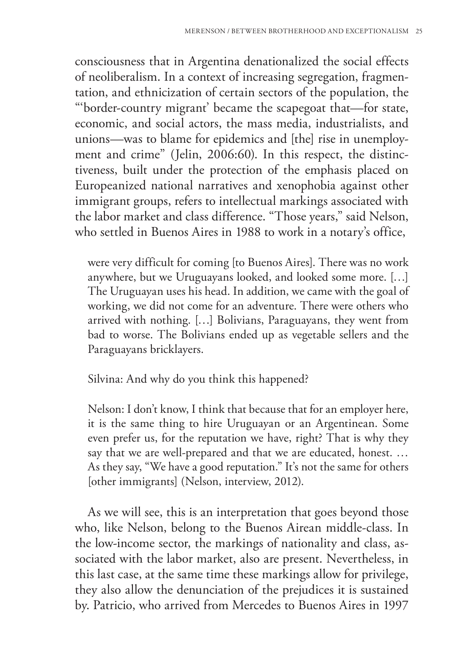consciousness that in Argentina denationalized the social effects of neoliberalism. In a context of increasing segregation, fragmentation, and ethnicization of certain sectors of the population, the "'border-country migrant' became the scapegoat that—for state, economic, and social actors, the mass media, industrialists, and unions—was to blame for epidemics and [the] rise in unemployment and crime" (Jelin, 2006:60). In this respect, the distinctiveness, built under the protection of the emphasis placed on Europeanized national narratives and xenophobia against other immigrant groups, refers to intellectual markings associated with the labor market and class difference. "Those years," said Nelson, who settled in Buenos Aires in 1988 to work in a notary's office,

were very difficult for coming [to Buenos Aires]. There was no work anywhere, but we Uruguayans looked, and looked some more. […] The Uruguayan uses his head. In addition, we came with the goal of working, we did not come for an adventure. There were others who arrived with nothing. […] Bolivians, Paraguayans, they went from bad to worse. The Bolivians ended up as vegetable sellers and the Paraguayans bricklayers.

Silvina: And why do you think this happened?

Nelson: I don't know, I think that because that for an employer here, it is the same thing to hire Uruguayan or an Argentinean. Some even prefer us, for the reputation we have, right? That is why they say that we are well-prepared and that we are educated, honest. … As they say, "We have a good reputation." It's not the same for others [other immigrants] (Nelson, interview, 2012).

As we will see, this is an interpretation that goes beyond those who, like Nelson, belong to the Buenos Airean middle-class. In the low-income sector, the markings of nationality and class, associated with the labor market, also are present. Nevertheless, in this last case, at the same time these markings allow for privilege, they also allow the denunciation of the prejudices it is sustained by. Patricio, who arrived from Mercedes to Buenos Aires in 1997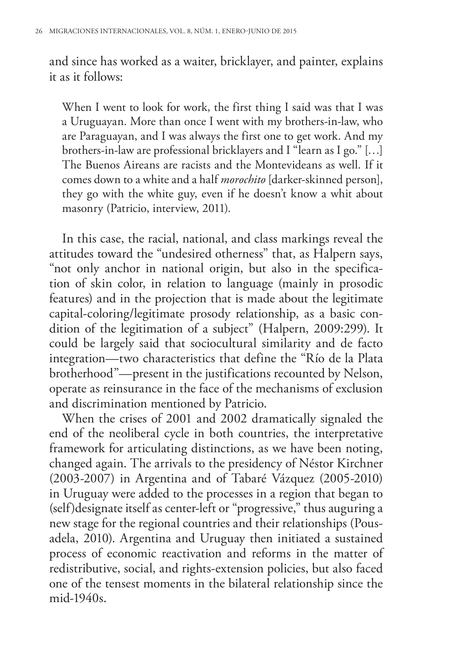and since has worked as a waiter, bricklayer, and painter, explains it as it follows:

When I went to look for work, the first thing I said was that I was a Uruguayan. More than once I went with my brothers-in-law, who are Paraguayan, and I was always the first one to get work. And my brothers-in-law are professional bricklayers and I "learn as I go." […] The Buenos Aireans are racists and the Montevideans as well. If it comes down to a white and a half *morochito* [darker-skinned person], they go with the white guy, even if he doesn't know a whit about masonry (Patricio, interview, 2011).

In this case, the racial, national, and class markings reveal the attitudes toward the "undesired otherness" that, as Halpern says, "not only anchor in national origin, but also in the specification of skin color, in relation to language (mainly in prosodic features) and in the projection that is made about the legitimate capital-coloring/legitimate prosody relationship, as a basic condition of the legitimation of a subject" (Halpern, 2009:299). It could be largely said that sociocultural similarity and de facto integration—two characteristics that define the "Río de la Plata brotherhood"—present in the justifications recounted by Nelson, operate as reinsurance in the face of the mechanisms of exclusion and discrimination mentioned by Patricio.

When the crises of 2001 and 2002 dramatically signaled the end of the neoliberal cycle in both countries, the interpretative framework for articulating distinctions, as we have been noting, changed again. The arrivals to the presidency of Néstor Kirchner (2003-2007) in Argentina and of Tabaré Vázquez (2005-2010) in Uruguay were added to the processes in a region that began to (self)designate itself as center-left or "progressive," thus auguring a new stage for the regional countries and their relationships (Pousadela, 2010). Argentina and Uruguay then initiated a sustained process of economic reactivation and reforms in the matter of redistributive, social, and rights-extension policies, but also faced one of the tensest moments in the bilateral relationship since the mid-1940s.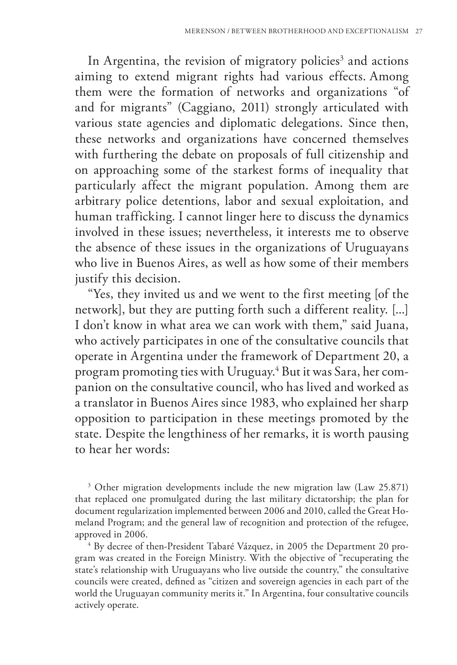In Argentina, the revision of migratory policies<sup>3</sup> and actions aiming to extend migrant rights had various effects. Among them were the formation of networks and organizations "of and for migrants" (Caggiano, 2011) strongly articulated with various state agencies and diplomatic delegations. Since then, these networks and organizations have concerned themselves with furthering the debate on proposals of full citizenship and on approaching some of the starkest forms of inequality that particularly affect the migrant population. Among them are arbitrary police detentions, labor and sexual exploitation, and human trafficking. I cannot linger here to discuss the dynamics involved in these issues; nevertheless, it interests me to observe the absence of these issues in the organizations of Uruguayans who live in Buenos Aires, as well as how some of their members justify this decision.

"Yes, they invited us and we went to the first meeting [of the network], but they are putting forth such a different reality. [...] I don't know in what area we can work with them," said Juana, who actively participates in one of the consultative councils that operate in Argentina under the framework of Department 20, a program promoting ties with Uruguay.<sup>4</sup> But it was Sara, her companion on the consultative council, who has lived and worked as a translator in Buenos Aires since 1983, who explained her sharp opposition to participation in these meetings promoted by the state. Despite the lengthiness of her remarks, it is worth pausing to hear her words:

3 Other migration developments include the new migration law (Law 25.871) that replaced one promulgated during the last military dictatorship; the plan for document regularization implemented between 2006 and 2010, called the Great Homeland Program; and the general law of recognition and protection of the refugee, approved in 2006.

<sup>4</sup> By decree of then-President Tabaré Vázquez, in 2005 the Department 20 program was created in the Foreign Ministry. With the objective of "recuperating the state's relationship with Uruguayans who live outside the country," the consultative councils were created, defined as "citizen and sovereign agencies in each part of the world the Uruguayan community merits it." In Argentina, four consultative councils actively operate.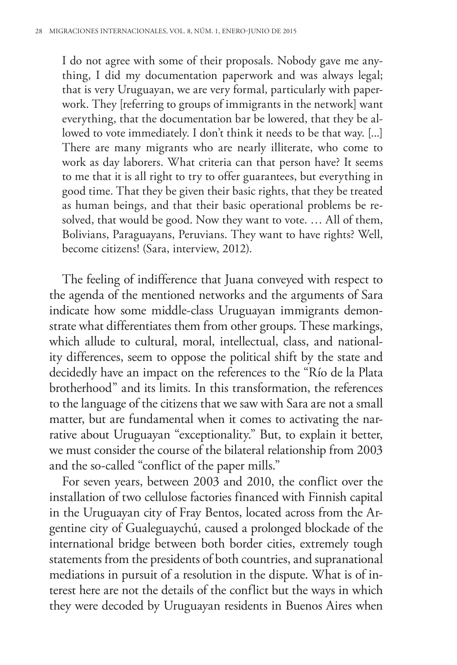I do not agree with some of their proposals. Nobody gave me anything, I did my documentation paperwork and was always legal; that is very Uruguayan, we are very formal, particularly with paperwork. They [referring to groups of immigrants in the network] want everything, that the documentation bar be lowered, that they be allowed to vote immediately. I don't think it needs to be that way. [...] There are many migrants who are nearly illiterate, who come to work as day laborers. What criteria can that person have? It seems to me that it is all right to try to offer guarantees, but everything in good time. That they be given their basic rights, that they be treated as human beings, and that their basic operational problems be resolved, that would be good. Now they want to vote. … All of them, Bolivians, Paraguayans, Peruvians. They want to have rights? Well, become citizens! (Sara, interview, 2012).

The feeling of indifference that Juana conveyed with respect to the agenda of the mentioned networks and the arguments of Sara indicate how some middle-class Uruguayan immigrants demonstrate what differentiates them from other groups. These markings, which allude to cultural, moral, intellectual, class, and nationality differences, seem to oppose the political shift by the state and decidedly have an impact on the references to the "Río de la Plata brotherhood" and its limits. In this transformation, the references to the language of the citizens that we saw with Sara are not a small matter, but are fundamental when it comes to activating the narrative about Uruguayan "exceptionality." But, to explain it better, we must consider the course of the bilateral relationship from 2003 and the so-called "conflict of the paper mills."

For seven years, between 2003 and 2010, the conflict over the installation of two cellulose factories financed with Finnish capital in the Uruguayan city of Fray Bentos, located across from the Argentine city of Gualeguaychú, caused a prolonged blockade of the international bridge between both border cities, extremely tough statements from the presidents of both countries, and supranational mediations in pursuit of a resolution in the dispute. What is of interest here are not the details of the conflict but the ways in which they were decoded by Uruguayan residents in Buenos Aires when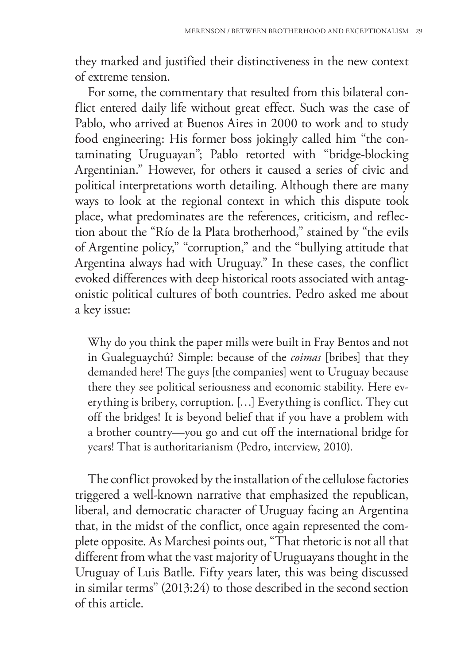they marked and justified their distinctiveness in the new context of extreme tension.

For some, the commentary that resulted from this bilateral conflict entered daily life without great effect. Such was the case of Pablo, who arrived at Buenos Aires in 2000 to work and to study food engineering: His former boss jokingly called him "the contaminating Uruguayan"; Pablo retorted with "bridge-blocking Argentinian." However, for others it caused a series of civic and political interpretations worth detailing. Although there are many ways to look at the regional context in which this dispute took place, what predominates are the references, criticism, and reflection about the "Río de la Plata brotherhood," stained by "the evils of Argentine policy," "corruption," and the "bullying attitude that Argentina always had with Uruguay." In these cases, the conflict evoked differences with deep historical roots associated with antagonistic political cultures of both countries. Pedro asked me about a key issue:

Why do you think the paper mills were built in Fray Bentos and not in Gualeguaychú? Simple: because of the *coimas* [bribes] that they demanded here! The guys [the companies] went to Uruguay because there they see political seriousness and economic stability. Here everything is bribery, corruption. […] Everything is conflict. They cut off the bridges! It is beyond belief that if you have a problem with a brother country—you go and cut off the international bridge for years! That is authoritarianism (Pedro, interview, 2010).

The conflict provoked by the installation of the cellulose factories triggered a well-known narrative that emphasized the republican, liberal, and democratic character of Uruguay facing an Argentina that, in the midst of the conflict, once again represented the complete opposite. As Marchesi points out, "That rhetoric is not all that different from what the vast majority of Uruguayans thought in the Uruguay of Luis Batlle. Fifty years later, this was being discussed in similar terms" (2013:24) to those described in the second section of this article.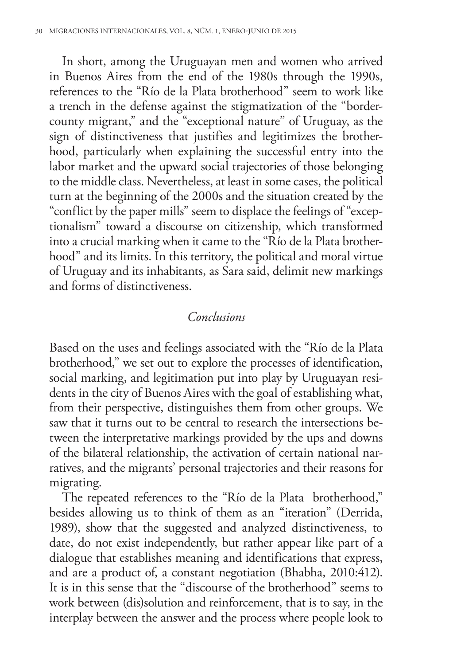In short, among the Uruguayan men and women who arrived in Buenos Aires from the end of the 1980s through the 1990s, references to the "Río de la Plata brotherhood" seem to work like a trench in the defense against the stigmatization of the "bordercounty migrant," and the "exceptional nature" of Uruguay, as the sign of distinctiveness that justifies and legitimizes the brotherhood, particularly when explaining the successful entry into the labor market and the upward social trajectories of those belonging to the middle class. Nevertheless, at least in some cases, the political turn at the beginning of the 2000s and the situation created by the "conflict by the paper mills" seem to displace the feelings of "exceptionalism" toward a discourse on citizenship, which transformed into a crucial marking when it came to the "Río de la Plata brotherhood" and its limits. In this territory, the political and moral virtue of Uruguay and its inhabitants, as Sara said, delimit new markings and forms of distinctiveness.

### *Conclusions*

Based on the uses and feelings associated with the "Río de la Plata brotherhood," we set out to explore the processes of identification, social marking, and legitimation put into play by Uruguayan residents in the city of Buenos Aires with the goal of establishing what, from their perspective, distinguishes them from other groups. We saw that it turns out to be central to research the intersections between the interpretative markings provided by the ups and downs of the bilateral relationship, the activation of certain national narratives, and the migrants' personal trajectories and their reasons for migrating.

The repeated references to the "Río de la Plata brotherhood," besides allowing us to think of them as an "iteration" (Derrida, 1989), show that the suggested and analyzed distinctiveness, to date, do not exist independently, but rather appear like part of a dialogue that establishes meaning and identifications that express, and are a product of, a constant negotiation (Bhabha, 2010:412). It is in this sense that the "discourse of the brotherhood" seems to work between (dis)solution and reinforcement, that is to say, in the interplay between the answer and the process where people look to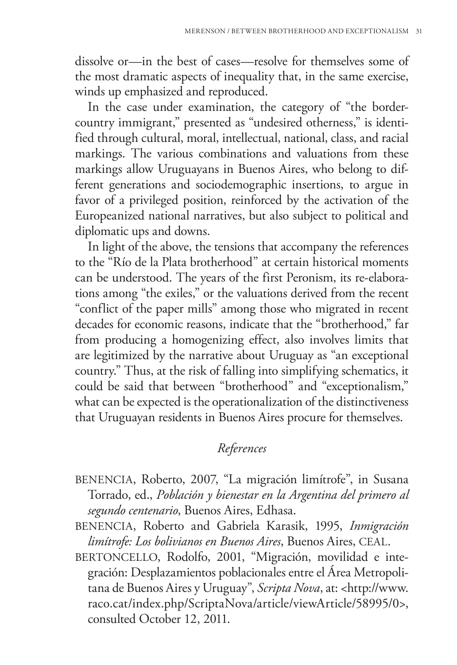dissolve or—in the best of cases—resolve for themselves some of the most dramatic aspects of inequality that, in the same exercise, winds up emphasized and reproduced.

In the case under examination, the category of "the bordercountry immigrant," presented as "undesired otherness," is identified through cultural, moral, intellectual, national, class, and racial markings. The various combinations and valuations from these markings allow Uruguayans in Buenos Aires, who belong to different generations and sociodemographic insertions, to argue in favor of a privileged position, reinforced by the activation of the Europeanized national narratives, but also subject to political and diplomatic ups and downs.

In light of the above, the tensions that accompany the references to the "Río de la Plata brotherhood" at certain historical moments can be understood. The years of the first Peronism, its re-elaborations among "the exiles," or the valuations derived from the recent "conflict of the paper mills" among those who migrated in recent decades for economic reasons, indicate that the "brotherhood," far from producing a homogenizing effect, also involves limits that are legitimized by the narrative about Uruguay as "an exceptional country." Thus, at the risk of falling into simplifying schematics, it could be said that between "brotherhood" and "exceptionalism," what can be expected is the operationalization of the distinctiveness that Uruguayan residents in Buenos Aires procure for themselves.

## *References*

- BENENCIA, Roberto, 2007, "La migración limítrofe", in Susana Torrado, ed., *Población y bienestar en la Argentina del primero al segundo centenario*, Buenos Aires, Edhasa.
- BENENCIA, Roberto and Gabriela Karasik, 1995, *Inmigración limítrofe: Los bolivianos en Buenos Aires*, Buenos Aires, CEAL.
- BERTONCELLO, Rodolfo, 2001, "Migración, movilidad e integración: Desplazamientos poblacionales entre el Área Metropolitana de Buenos Aires y Uruguay", *Scripta Nova*, at: <http://www. raco.cat/index.php/ScriptaNova/article/viewArticle/58995/0>, consulted October 12, 2011.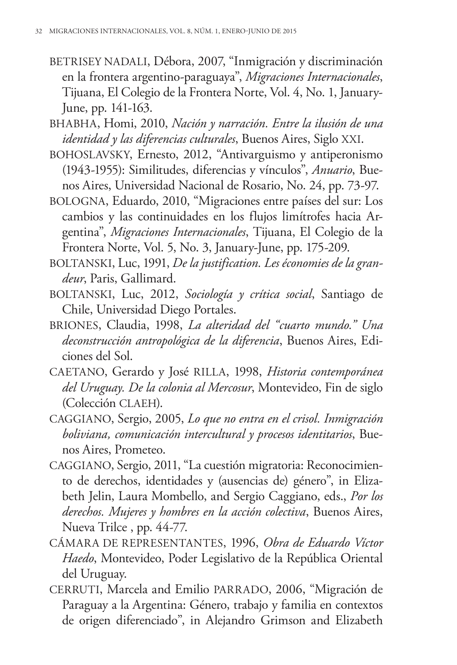- BETRISEY NADALI, Débora, 2007, "Inmigración y discriminación en la frontera argentino-paraguaya", *Migraciones Internacionales*, Tijuana, El Colegio de la Frontera Norte, Vol. 4, No. 1, January-June, pp. 141-163.
- BHABHA, Homi, 2010, *Nación y narración. Entre la ilusión de una identidad y las diferencias culturales*, Buenos Aires, Siglo XXI.
- BOHOSLAVSKY, Ernesto, 2012, "Antivarguismo y antiperonismo (1943-1955): Similitudes, diferencias y vínculos", *Anuario*, Buenos Aires, Universidad Nacional de Rosario, No. 24, pp. 73-97.
- BOLOGNA, Eduardo, 2010, "Migraciones entre países del sur: Los cambios y las continuidades en los flujos limítrofes hacia Argentina", *Migraciones Internacionales*, Tijuana, El Colegio de la Frontera Norte, Vol. 5, No. 3, January-June, pp. 175-209.
- BOLTANSKI, Luc, 1991, *De la justification. Les économies de la grandeur*, Paris, Gallimard.
- BOLTANSKI, Luc, 2012, *Sociología y crítica social*, Santiago de Chile, Universidad Diego Portales.
- BRIONES, Claudia, 1998, *La alteridad del "cuarto mundo." Una deconstrucción antropológica de la diferencia*, Buenos Aires, Ediciones del Sol.
- CAETANO, Gerardo y José RILLA, 1998, *Historia contemporánea del Uruguay. De la colonia al Mercosur*, Montevideo, Fin de siglo (Colección CLAEH).
- CAGGIANO, Sergio, 2005, *Lo que no entra en el crisol. Inmigración boliviana, comunicación intercultural y procesos identitarios*, Buenos Aires, Prometeo.
- CAGGIANO, Sergio, 2011, "La cuestión migratoria: Reconocimiento de derechos, identidades y (ausencias de) género", in Elizabeth Jelin, Laura Mombello, and Sergio Caggiano, eds., *Por los derechos. Mujeres y hombres en la acción colectiva*, Buenos Aires, Nueva Trilce , pp. 44-77.
- CÁMARA DE REPRESENTANTES, 1996, *Obra de Eduardo Víctor Haedo*, Montevideo, Poder Legislativo de la República Oriental del Uruguay.
- CERRUTI, Marcela and Emilio PARRADO, 2006, "Migración de Paraguay a la Argentina: Género, trabajo y familia en contextos de origen diferenciado", in Alejandro Grimson and Elizabeth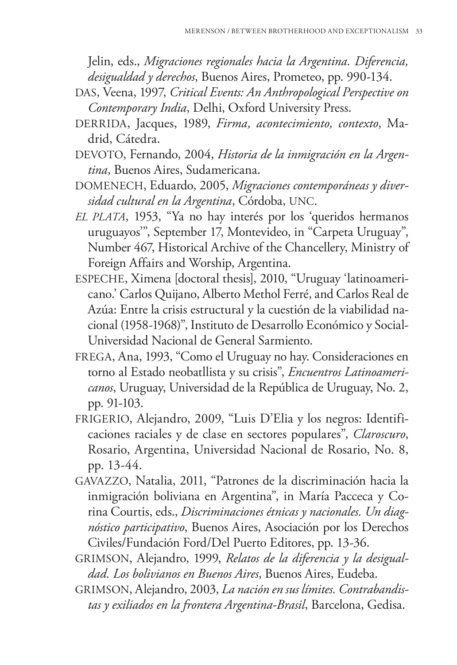Jelin, eds., *Migraciones regionales hacia la Argentina. Diferencia, desigualdad y derechos*, Buenos Aires, Prometeo, pp. 990-134.

- DAS, Veena, 1997, *Critical Events: An Anthropological Perspective on Contemporary India*, Delhi, Oxford University Press.
- DERRIDA, Jacques, 1989, *Firma, acontecimiento, contexto*, Madrid, Cátedra.
- DEVOTO, Fernando, 2004, *Historia de la inmigración en la Argentina*, Buenos Aires, Sudamericana.
- DOMENECH, Eduardo, 2005, *Migraciones contemporáneas y diversidad cultural en la Argentina*, Córdoba, UNC.
- *EL PLATA*, 1953, "Ya no hay interés por los 'queridos hermanos uruguayos'", September 17, Montevideo, in "Carpeta Uruguay", Number 467, Historical Archive of the Chancellery, Ministry of Foreign Affairs and Worship, Argentina.
- ESPECHE, Ximena [doctoral thesis], 2010, "Uruguay 'latinoamericano.' Carlos Quijano, Alberto Methol Ferré, and Carlos Real de Azúa: Entre la crisis estructural y la cuestión de la viabilidad nacional (1958-1968)", Instituto de Desarrollo Económico y Social-Universidad Nacional de General Sarmiento.
- FREGA, Ana, 1993, "Como el Uruguay no hay. Consideraciones en torno al Estado neobatllista y su crisis", *Encuentros Latinoamericanos*, Uruguay, Universidad de la República de Uruguay, No. 2, pp. 91-103.
- FRIGERIO, Alejandro, 2009, "Luis D'Elia y los negros: Identificaciones raciales y de clase en sectores populares", *Claroscuro*, Rosario, Argentina, Universidad Nacional de Rosario, No. 8, pp. 13-44.
- GAVAZZO, Natalia, 2011, "Patrones de la discriminación hacia la inmigración boliviana en Argentina", in María Pacceca y Corina Courtis, eds., *Discriminaciones étnicas y nacionales. Un diagnóstico participativo*, Buenos Aires, Asociación por los Derechos Civiles/Fundación Ford/Del Puerto Editores, pp. 13-36.
- GRIMSON, Alejandro, 1999, *Relatos de la diferencia y la desigualdad. Los bolivianos en Buenos Aires*, Buenos Aires, Eudeba.
- GRIMSON, Alejandro, 2003, *La nación en sus límites. Contrabandistas y exiliados en la frontera Argentina-Brasil*, Barcelona, Gedisa.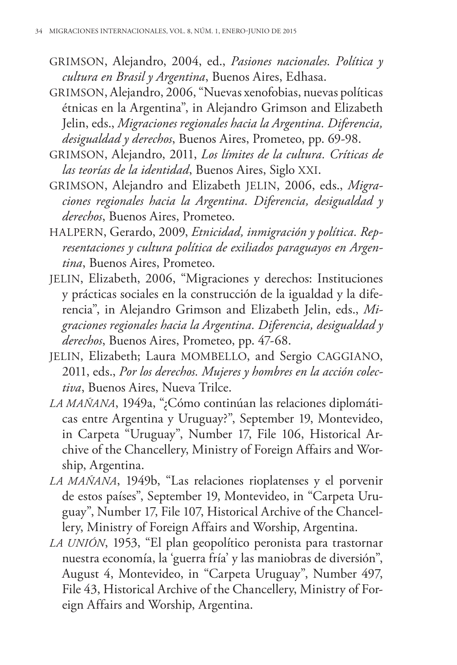- GRIMSON, Alejandro, 2004, ed., *Pasiones nacionales. Política y cultura en Brasil y Argentina*, Buenos Aires, Edhasa.
- GRIMSON, Alejandro, 2006, "Nuevas xenofobias, nuevas políticas étnicas en la Argentina", in Alejandro Grimson and Elizabeth Jelin, eds., *Migraciones regionales hacia la Argentina. Diferencia, desigualdad y derechos*, Buenos Aires, Prometeo, pp. 69-98.
- GRIMSON, Alejandro, 2011, *Los límites de la cultura. Críticas de las teorías de la identidad*, Buenos Aires, Siglo XXI.
- GRIMSON, Alejandro and Elizabeth JELIN, 2006, eds., *Migraciones regionales hacia la Argentina. Diferencia, desigualdad y derechos*, Buenos Aires, Prometeo.
- HALPERN, Gerardo, 2009, *Etnicidad, inmigración y política. Representaciones y cultura política de exiliados paraguayos en Argentina*, Buenos Aires, Prometeo.
- JELIN, Elizabeth, 2006, "Migraciones y derechos: Instituciones y prácticas sociales en la construcción de la igualdad y la diferencia", in Alejandro Grimson and Elizabeth Jelin, eds., *Migraciones regionales hacia la Argentina. Diferencia, desigualdad y derechos*, Buenos Aires, Prometeo, pp. 47-68.
- JELIN, Elizabeth; Laura MOMBELLO, and Sergio CAGGIANO, 2011, eds., *Por los derechos. Mujeres y hombres en la acción colectiva*, Buenos Aires, Nueva Trilce.
- *LA MAÑANA*, 1949a, "¿Cómo continúan las relaciones diplomáticas entre Argentina y Uruguay?", September 19, Montevideo, in Carpeta "Uruguay", Number 17, File 106, Historical Archive of the Chancellery, Ministry of Foreign Affairs and Worship, Argentina.
- *LA MAÑANA*, 1949b, "Las relaciones rioplatenses y el porvenir de estos países", September 19, Montevideo, in "Carpeta Uruguay", Number 17, File 107, Historical Archive of the Chancellery, Ministry of Foreign Affairs and Worship, Argentina.
- *LA UNIÓN*, 1953, "El plan geopolítico peronista para trastornar nuestra economía, la 'guerra fría' y las maniobras de diversión", August 4, Montevideo, in "Carpeta Uruguay", Number 497, File 43, Historical Archive of the Chancellery, Ministry of Foreign Affairs and Worship, Argentina.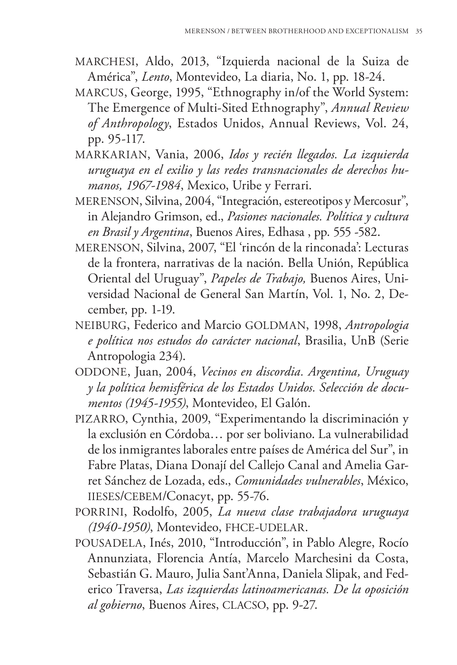- MARCHESI, Aldo, 2013, "Izquierda nacional de la Suiza de América", *Lento*, Montevideo, La diaria, No. 1, pp. 18-24.
- MARCUS, George, 1995, "Ethnography in/of the World System: The Emergence of Multi-Sited Ethnography", *Annual Review of Anthropology*, Estados Unidos, Annual Reviews, Vol. 24, pp. 95-117.
- MARKARIAN, Vania, 2006, *Idos y recién llegados. La izquierda uruguaya en el exilio y las redes transnacionales de derechos humanos, 1967-1984*, Mexico, Uribe y Ferrari.
- MERENSON, Silvina, 2004, "Integración, estereotipos y Mercosur", in Alejandro Grimson, ed., *Pasiones nacionales. Política y cultura en Brasil y Argentina*, Buenos Aires, Edhasa , pp. 555 -582.
- MERENSON, Silvina, 2007, "El 'rincón de la rinconada': Lecturas de la frontera, narrativas de la nación. Bella Unión, República Oriental del Uruguay", *Papeles de Trabajo,* Buenos Aires, Universidad Nacional de General San Martín, Vol. 1, No. 2, December, pp. 1-19.
- NEIBURG, Federico and Marcio GOLDMAN, 1998, *Antropologia e política nos estudos do carácter nacional*, Brasilia, UnB (Serie Antropologia 234).
- ODDONE, Juan, 2004, *Vecinos en discordia. Argentina, Uruguay y la política hemisférica de los Estados Unidos. Selección de documentos (1945-1955)*, Montevideo, El Galón.
- PIZARRO, Cynthia, 2009, "Experimentando la discriminación y la exclusión en Córdoba… por ser boliviano. La vulnerabilidad de los inmigrantes laborales entre países de América del Sur", in Fabre Platas, Diana Donají del Callejo Canal and Amelia Garret Sánchez de Lozada, eds., *Comunidades vulnerables*, México, IIESES/CEBEM/Conacyt, pp. 55-76.
- PORRINI, Rodolfo, 2005, *La nueva clase trabajadora uruguaya (1940-1950)*, Montevideo, FHCE-UDELAR.
- POUSADELA, Inés, 2010, "Introducción", in Pablo Alegre, Rocío Annunziata, Florencia Antía, Marcelo Marchesini da Costa, Sebastián G. Mauro, Julia Sant'Anna, Daniela Slipak, and Federico Traversa, *Las izquierdas latinoamericanas. De la oposición al gobierno*, Buenos Aires, CLACSO, pp. 9-27.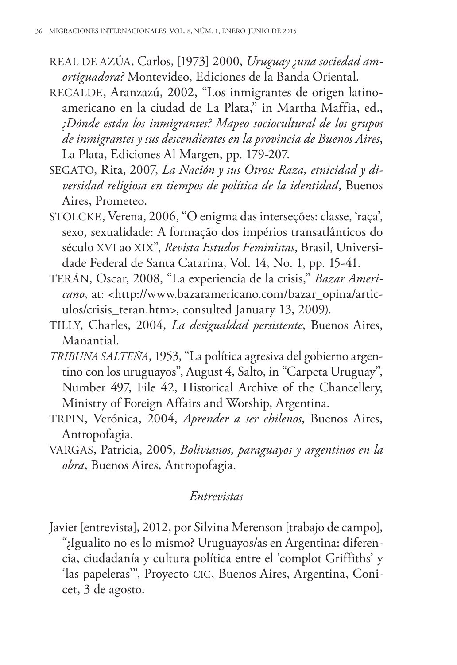- REAL DE AZÚA, Carlos, [1973] 2000, *Uruguay ¿una sociedad amortiguadora?* Montevideo, Ediciones de la Banda Oriental.
- RECALDE, Aranzazú, 2002, "Los inmigrantes de origen latinoamericano en la ciudad de La Plata," in Martha Maffia, ed., *¿Dónde están los inmigrantes? Mapeo sociocultural de los grupos de inmigrantes y sus descendientes en la provincia de Buenos Aires*, La Plata, Ediciones Al Margen, pp. 179-207.
- SEGATO, Rita, 2007, *La Nación y sus Otros: Raza, etnicidad y diversidad religiosa en tiempos de política de la identidad*, Buenos Aires, Prometeo.
- STOLCKE, Verena, 2006, "O enigma das interseções: classe, 'raça', sexo, sexualidade: A formação dos impérios transatlânticos do século XVI ao XIX", *Revista Estudos Feministas*, Brasil, Universidade Federal de Santa Catarina, Vol. 14, No. 1, pp. 15-41.
- TERÁN, Oscar, 2008, "La experiencia de la crisis," *Bazar Americano*, at: <http://www.bazaramericano.com/bazar\_opina/articulos/crisis\_teran.htm>, consulted January 13, 2009).
- TILLY, Charles, 2004, *La desigualdad persistente*, Buenos Aires, Manantial.
- *TRIBUNA SALTEÑA*, 1953, "La política agresiva del gobierno argentino con los uruguayos", August 4, Salto, in "Carpeta Uruguay", Number 497, File 42, Historical Archive of the Chancellery, Ministry of Foreign Affairs and Worship, Argentina.
- TRPIN, Verónica, 2004, *Aprender a ser chilenos*, Buenos Aires, Antropofagia.
- VARGAS, Patricia, 2005, *Bolivianos, paraguayos y argentinos en la obra*, Buenos Aires, Antropofagia.

### *Entrevistas*

Javier [entrevista], 2012, por Silvina Merenson [trabajo de campo], "¿Igualito no es lo mismo? Uruguayos/as en Argentina: diferencia, ciudadanía y cultura política entre el 'complot Griffiths' y 'las papeleras'", Proyecto CIC, Buenos Aires, Argentina, Conicet, 3 de agosto.